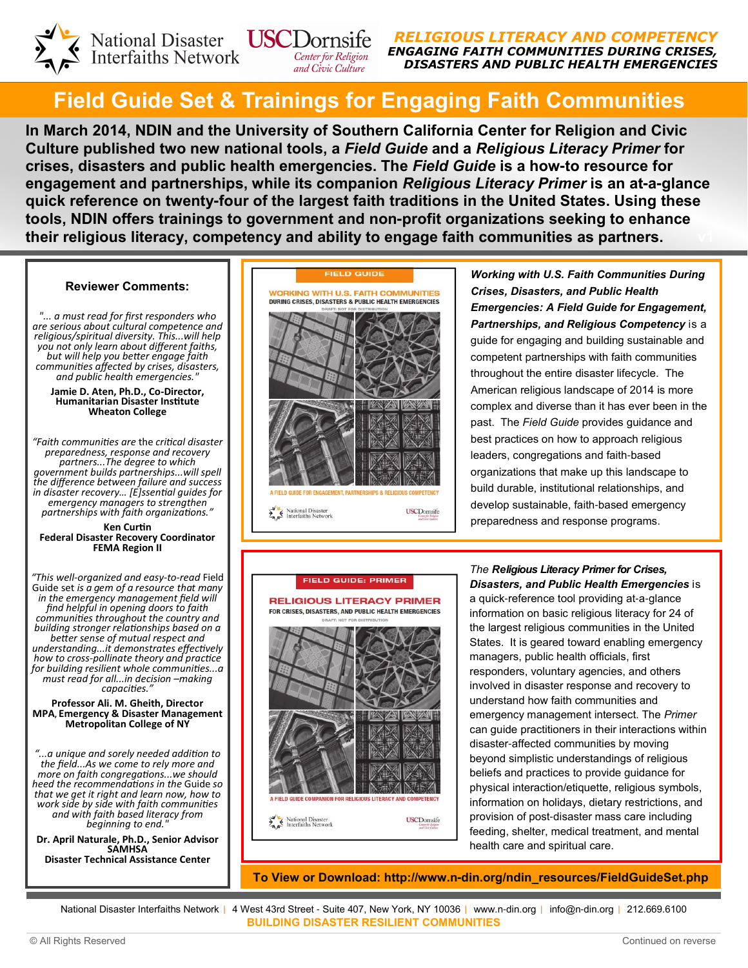

RELIGIOUS LITERACY AND COMPETENCY ENGAGING FAITH COMMUNITIES DURING CRISES, DISASTERS AND PUBLIC HEALTH EMERGENCIES

## Field Guide Set & Trainings for Engaging Faith Communities

and Civic Culture

In March 2014, NDIN and the University of Southern California Center for Religion and Civic Culture published two new national tools, a Field Guide and a Religious Literacy Primer for crises, disasters and public health emergencies. The Field Guide is a how**-**to resource for engagement and partnerships, while its companion Religious Literacy Primer is an at**-**a**-**glance quick reference on twenty**-**four of the largest faith traditions in the United States. Using these tools, NDIN offers trainings to government and non**-**profit organizations seeking to enhance their religious literacy, competency and ability to engage faith communities as partners.

#### Reviewer Comments:

"... a must read for first responders who are serious about cultural competence and religious/spiritual diversity. This...will help you not only learn about different faiths, but will help you better engage faith communities affected by crises, disasters, and public health emergencies."

#### Jamie D. Aten, Ph.D., Co-Director, Humanitarian Disaster Institute Wheaton College

"Faith communities are the critical disaster preparedness, response and recovery partners...The degree to which government builds partnerships...will spell the difference between failure and success in disaster recovery... [E]ssential guides for emergency managers to strengthen partnerships with faith organizations."

#### Ken Curtin Federal Disaster Recovery Coordinator FEMA Region II

"This well-organized and easy-to-read Field Guide set is  $a$  gem of a resource that many in the emergency management field will find helpful in opening doors to faith communities throughout the country and building stronger relationships based on a better sense of mutual respect and understanding...it demonstrates effectively how to cross-pollinate theory and practice for building resilient whole communities...g must read for all...in decision –making capacities."

#### Professor Ali. M. Gheith, Director MPA, Emergency & Disaster Management Metropolitan College of NY

"...a unique and sorely needed addition to the field...As we come to rely more and more on faith congregations...we should heed the recommendations in the Guide so that we get it right and learn now, how to work side by side with faith communities and with faith based literacy from beginning to end.

Dr. April Naturale, Ph.D., Senior Advisor **SAMHSA** Disaster Technical Assistance Center



Working with U.S. Faith Communities During Crises, Disasters, and Public Health Emergencies: A Field Guide for Engagement, Partnerships, and Religious Competency is a guide for engaging and building sustainable and competent partnerships with faith communities throughout the entire disaster lifecycle. The American religious landscape of 2014 is more complex and diverse than it has ever been in the past. The Field Guide provides quidance and best practices on how to approach religious leaders, congregations and faith-based organizations that make up this landscape to build durable, institutional relationships, and develop sustainable, faith-based emergency preparedness and response programs.

# **FIELD GUIDE: PRIMER RELIGIOUS LITERACY PRIMER** FOR CRISES, DISASTERS, AND PUBLIC HEALTH EMERGENCIES A FIELD GUIDE COMPANION FOR RELIGIOUS LITERACY AND COMPETENCY National Disaster<br>Interfaiths Network **USCDornsife**

The Religious Literacy Primer for Crises, Disasters, and Public Health Emergencies is a quick-reference tool providing at-a-glance information on basic religious literacy for 24 of the largest religious communities in the United States. It is geared toward enabling emergency managers, public health officials, first responders, voluntary agencies, and others involved in disaster response and recovery to understand how faith communities and emergency management intersect. The Primer can guide practitioners in their interactions within disaster-affected communities by moving beyond simplistic understandings of religious beliefs and practices to provide guidance for physical interaction/etiquette, religious symbols, information on holidays, dietary restrictions, and provision of post-disaster mass care including feeding, shelter, medical treatment, and mental health care and spiritual care.

To View or Download: http://www.n**-**din.org/ndin\_resources/FieldGuideSet.php

National Disaster Interfaiths Network | 4 West 43rd Street - Suite 407, New York, NY 10036 | www.n-din.org | info@n-din.org | 212.669.6100 BUILDING DISASTER RESILIENT COMMUNITIES